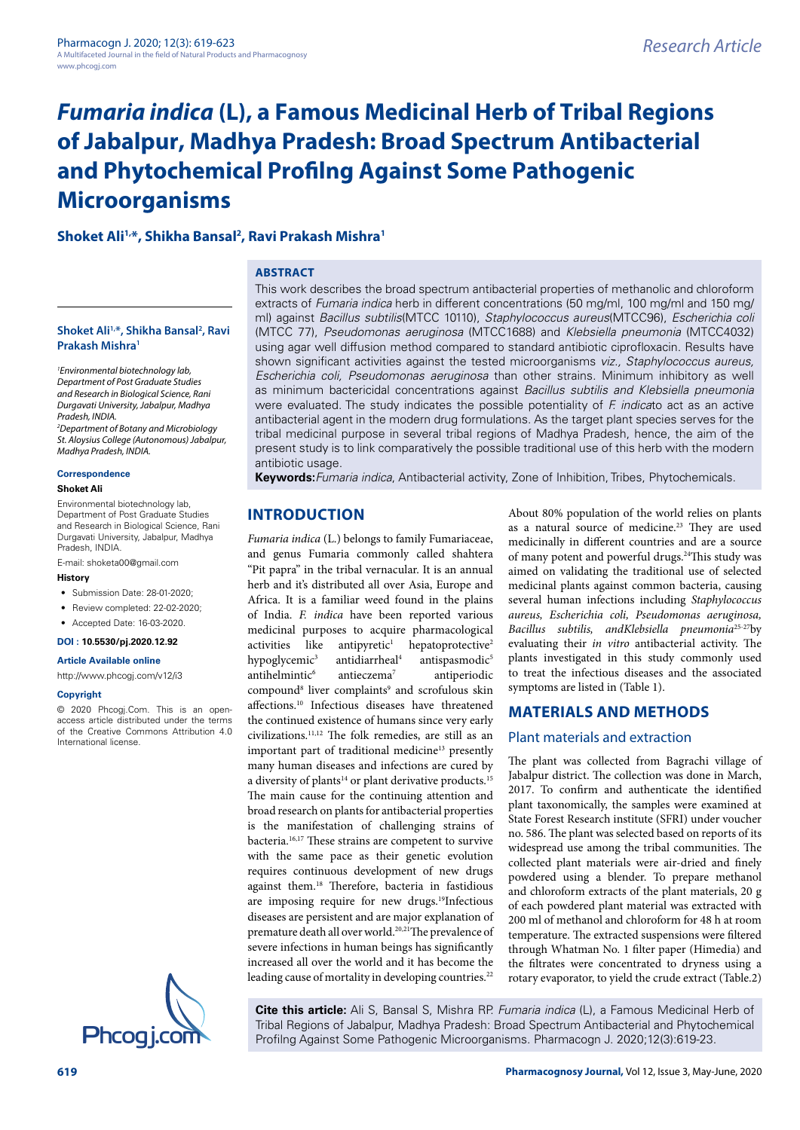# **Shoket Ali1,\*, Shikha Bansal2 , Ravi Prakash Mishra1**

#### **Shoket Ali1,\*, Shikha Bansal2 , Ravi Prakash Mishra1**

*1 Environmental biotechnology lab, Department of Post Graduate Studies and Research in Biological Science, Rani Durgavati University, Jabalpur, Madhya Pradesh, INDIA.* 

*2 Department of Botany and Microbiology St. Aloysius College (Autonomous) Jabalpur, Madhya Pradesh, INDIA.*

#### **Correspondence**

#### **Shoket Ali**

Environmental biotechnology lab, Department of Post Graduate Studies and Research in Biological Science, Rani Durgavati University, Jabalpur, Madhya Pradesh, INDIA.

E-mail: [shoketa00@gmail.com](mailto:shoketa00@gmail.com)

#### **History**

- Submission Date: 28-01-2020;
- Review completed: 22-02-2020;
- Accepted Date: 16-03-2020.

#### **DOI : 10.5530/pj.2020.12.92**

**Article Available online** 

#### <http://www.phcogj.com/v12/i3>

#### **Copyright**

© 2020 Phcogj.Com. This is an openaccess article distributed under the terms of the Creative Commons Attribution 4.0 International license.



## **ABSTRACT**

This work describes the broad spectrum antibacterial properties of methanolic and chloroform extracts of *Fumaria indica* herb in different concentrations (50 mg/ml, 100 mg/ml and 150 mg/ ml) against *Bacillus subtilis*(MTCC 10110), *Staphylococcus aureus*(MTCC96), *Escherichia coli*  (MTCC 77), *Pseudomonas aeruginosa* (MTCC1688) and *Klebsiella pneumonia* (MTCC4032) using agar well diffusion method compared to standard antibiotic ciprofloxacin. Results have shown significant activities against the tested microorganisms *viz., Staphylococcus aureus, Escherichia coli, Pseudomonas aeruginosa* than other strains*.* Minimum inhibitory as well as minimum bactericidal concentrations against *Bacillus subtilis and Klebsiella pneumonia*  were evaluated. The study indicates the possible potentiality of *F. indica*to act as an active antibacterial agent in the modern drug formulations. As the target plant species serves for the tribal medicinal purpose in several tribal regions of Madhya Pradesh, hence, the aim of the present study is to link comparatively the possible traditional use of this herb with the modern antibiotic usage.

**Keywords:***Fumaria indica*, Antibacterial activity, Zone of Inhibition, Tribes, Phytochemicals.

# **INTRODUCTION**

*Fumaria indica* (L.) belongs to family Fumariaceae, and genus Fumaria commonly called shahtera "Pit papra" in the tribal vernacular. It is an annual herb and it's distributed all over Asia, Europe and Africa. It is a familiar weed found in the plains of India. *F. indica* have been reported various medicinal purposes to acquire pharmacological activities like antipyretic<sup>1</sup> hepatoprotective<sup>2</sup> hypoglycemic<sup>3</sup> antidiarrheal4 antispasmodic<sup>5</sup> antihelmintic $6$  antieczema<sup>7</sup> antiperiodic compound<sup>8</sup> liver complaints<sup>9</sup> and scrofulous skin affections.10 Infectious diseases have threatened the continued existence of humans since very early civilizations.11,12 The folk remedies, are still as an important part of traditional medicine<sup>13</sup> presently many human diseases and infections are cured by a diversity of plants<sup>14</sup> or plant derivative products.<sup>15</sup> The main cause for the continuing attention and broad research on plants for antibacterial properties is the manifestation of challenging strains of bacteria.16,17 These strains are competent to survive with the same pace as their genetic evolution requires continuous development of new drugs against them.18 Therefore, bacteria in fastidious are imposing require for new drugs.<sup>19</sup>Infectious diseases are persistent and are major explanation of premature death all over world.<sup>20,21</sup>The prevalence of severe infections in human beings has significantly increased all over the world and it has become the leading cause of mortality in developing countries.<sup>22</sup>

About 80% population of the world relies on plants as a natural source of medicine.<sup>23</sup> They are used medicinally in different countries and are a source of many potent and powerful drugs.<sup>24</sup>This study was aimed on validating the traditional use of selected medicinal plants against common bacteria, causing several human infections including *Staphylococcus aureus, Escherichia coli, Pseudomonas aeruginosa, Bacillus subtilis, andKlebsiella pneumonia*25-27by evaluating their *in vitro* antibacterial activity. The plants investigated in this study commonly used to treat the infectious diseases and the associated symptoms are listed in (Table 1).

## **MATERIALS AND METHODS**

## Plant materials and extraction

The plant was collected from Bagrachi village of Jabalpur district. The collection was done in March, 2017. To confirm and authenticate the identified plant taxonomically, the samples were examined at State Forest Research institute (SFRI) under voucher no. 586. The plant was selected based on reports of its widespread use among the tribal communities. The collected plant materials were air-dried and finely powdered using a blender. To prepare methanol and chloroform extracts of the plant materials, 20 g of each powdered plant material was extracted with 200 ml of methanol and chloroform for 48 h at room temperature. The extracted suspensions were filtered through Whatman No. 1 filter paper (Himedia) and the filtrates were concentrated to dryness using a rotary evaporator, to yield the crude extract (Table.2)

**Cite this article:** Ali S, Bansal S, Mishra RP. *Fumaria indica* (L), a Famous Medicinal Herb of Tribal Regions of Jabalpur, Madhya Pradesh: Broad Spectrum Antibacterial and Phytochemical Phcog i.com Profilng Against Some Pathogenic Microorganisms. Pharmacogn J. 2020;12(3):619-23.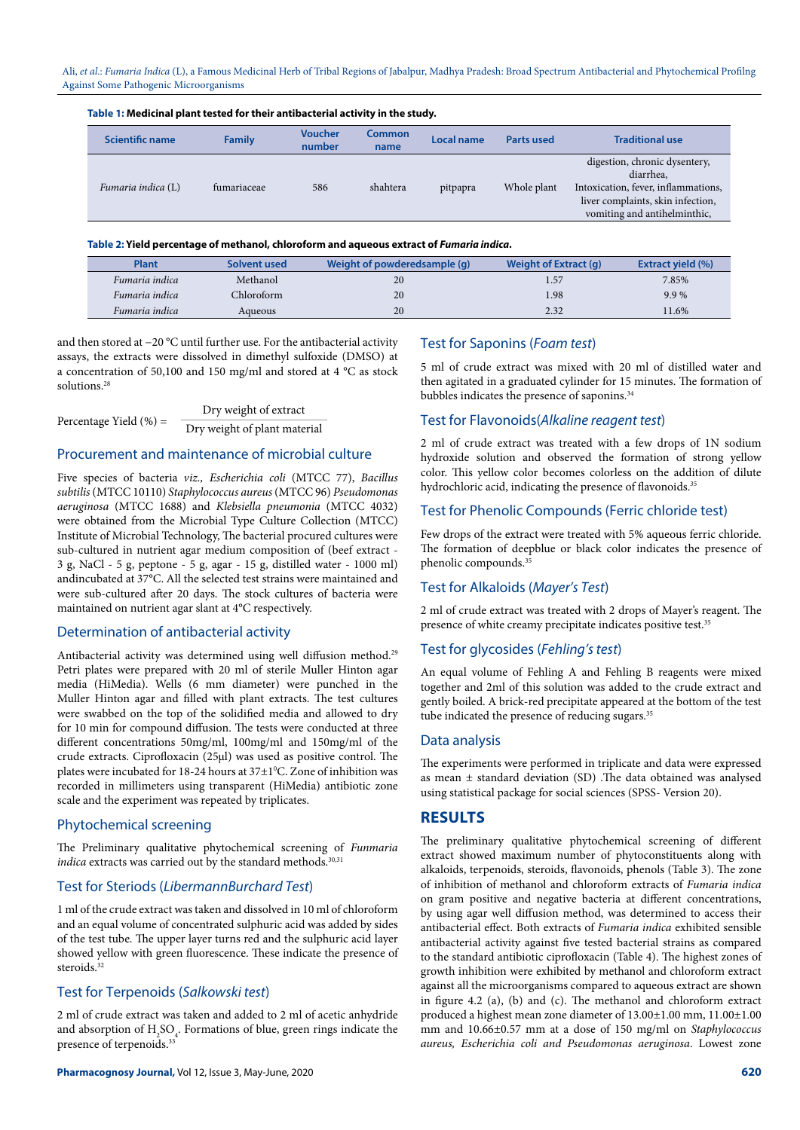| Table 1: Medicinal plant tested for their antibacterial activity in the study. |               |                          |                |            |             |                                                                                                                                                        |  |
|--------------------------------------------------------------------------------|---------------|--------------------------|----------------|------------|-------------|--------------------------------------------------------------------------------------------------------------------------------------------------------|--|
| <b>Scientific name</b>                                                         | <b>Family</b> | <b>Voucher</b><br>number | Common<br>name | Local name | Parts used  | <b>Traditional use</b>                                                                                                                                 |  |
| Fumaria indica (L)                                                             | fumariaceae   | 586                      | shahtera       | pitpapra   | Whole plant | digestion, chronic dysentery,<br>diarrhea.<br>Intoxication, fever, inflammations,<br>liver complaints, skin infection,<br>vomiting and antihelminthic, |  |

#### **Table 2: Yield percentage of methanol, chloroform and aqueous extract of** *Fumaria indica***.**

| Plant          | Solvent used | Weight of powderedsample (g) | Weight of Extract (g) | <b>Extract yield (%)</b> |
|----------------|--------------|------------------------------|-----------------------|--------------------------|
| Fumaria indica | Methanol     | 20                           | 1.57                  | 7.85%                    |
| Fumaria indica | Chloroform   | 20                           | 1.98                  | 9.9%                     |
| Fumaria indica | Aqueous      | 20                           | 2.32                  | 11.6%                    |

and then stored at −20 °C until further use. For the antibacterial activity assays, the extracts were dissolved in dimethyl sulfoxide (DMSO) at a concentration of 50,100 and 150 mg/ml and stored at 4 °C as stock solutions<sup>28</sup>

|                           | Dry weight of extract        |  |  |  |  |
|---------------------------|------------------------------|--|--|--|--|
| Percentage Yield $(\%) =$ | Dry weight of plant material |  |  |  |  |

## Procurement and maintenance of microbial culture

Five species of bacteria *viz., Escherichia coli* (MTCC 77), *Bacillus subtilis* (MTCC 10110) *Staphylococcus aureus* (MTCC 96) *Pseudomonas aeruginosa* (MTCC 1688) and *Klebsiella pneumonia* (MTCC 4032) were obtained from the Microbial Type Culture Collection (MTCC) Institute of Microbial Technology, The bacterial procured cultures were sub-cultured in nutrient agar medium composition of (beef extract - 3 g, NaCl - 5 g, peptone - 5 g, agar - 15 g, distilled water - 1000 ml) andincubated at 37°C. All the selected test strains were maintained and were sub-cultured after 20 days. The stock cultures of bacteria were maintained on nutrient agar slant at 4°C respectively.

#### Determination of [antibacterial activity](http://www.scialert.net/asci/result.php?searchin=Keywords&cat=&ascicat=ALL&Submit=Search&keyword=antibacterial+activity)

Antibacterial activity was determined using well diffusion method.<sup>29</sup> Petri plates were prepared with 20 ml of sterile Muller Hinton agar media (HiMedia). Wells (6 mm diameter) were punched in the Muller Hinton agar and filled with plant extracts. The test cultures were swabbed on the top of the solidified media and allowed to dry for 10 min for compound diffusion. The tests were conducted at three different concentrations 50mg/ml, 100mg/ml and 150mg/ml of the crude extracts. Ciprofloxacin (25µl) was used as positive control. The plates were incubated for 18-24 hours at  $37\pm1^{\circ}$ C. Zone of inhibition was recorded in millimeters using transparent (HiMedia) antibiotic zone scale and the experiment was repeated by triplicates.

#### Phytochemical screening

The Preliminary qualitative phytochemical screening of *Funmaria indica* extracts was carried out by the standard methods.<sup>30,31</sup>

## Test for Steriods (*LibermannBurchard Test*)

1 ml of the crude extract was taken and dissolved in 10 ml of chloroform and an equal volume of concentrated sulphuric acid was added by sides of the test tube. The upper layer turns red and the sulphuric acid layer showed yellow with green fluorescence. These indicate the presence of steroids.<sup>32</sup>

## Test for Terpenoids (*Salkowski test*)

2 ml of crude extract was taken and added to 2 ml of acetic anhydride and absorption of  $\mathrm{H}_2\mathrm{SO}_4$ . Formations of blue, green rings indicate the presence of terpenoids.<sup>33</sup>

## Test for Saponins (*Foam test*)

5 ml of crude extract was mixed with 20 ml of distilled water and then agitated in a graduated cylinder for 15 minutes. The formation of bubbles indicates the presence of saponins.<sup>34</sup>

### Test for Flavonoids(*Alkaline reagent test*)

2 ml of crude extract was treated with a few drops of 1N sodium hydroxide solution and observed the formation of strong yellow color. This yellow color becomes colorless on the addition of dilute hydrochloric acid, indicating the presence of flavonoids.<sup>35</sup>

#### Test for Phenolic Compounds (Ferric chloride test)

Few drops of the extract were treated with 5% aqueous ferric chloride. The formation of deepblue or black color indicates the presence of phenolic compounds.35

## Test for Alkaloids (*Mayer's Test*)

2 ml of crude extract was treated with 2 drops of Mayer's reagent. The presence of white creamy precipitate indicates positive test.<sup>35</sup>

#### Test for glycosides (*Fehling's test*)

An equal volume of Fehling A and Fehling B reagents were mixed together and 2ml of this solution was added to the crude extract and gently boiled. A brick-red precipitate appeared at the bottom of the test tube indicated the presence of reducing sugars.<sup>35</sup>

#### Data analysis

The experiments were performed in triplicate and data were expressed as mean ± standard deviation (SD) .The data obtained was analysed using statistical package for social sciences (SPSS- Version 20).

# **RESULTS**

The preliminary qualitative phytochemical screening of different extract showed maximum number of phytoconstituents along with alkaloids, terpenoids, steroids, flavonoids, phenols (Table 3). The zone of inhibition of methanol and chloroform extracts of *Fumaria indica* on gram positive and negative bacteria at different concentrations, by using agar well diffusion method, was determined to access their antibacterial effect. Both extracts of *Fumaria indica* exhibited sensible antibacterial activity against five tested bacterial strains as compared to the standard antibiotic ciprofloxacin (Table 4). The highest zones of growth inhibition were exhibited by methanol and chloroform extract against all the microorganisms compared to aqueous extract are shown in figure 4.2 (a), (b) and (c). The methanol and chloroform extract produced a highest mean zone diameter of 13.00±1.00 mm, 11.00±1.00 mm and 10.66±0.57 mm at a dose of 150 mg/ml on *Staphylococcus aureus, Escherichia coli and Pseudomonas aeruginosa*. Lowest zone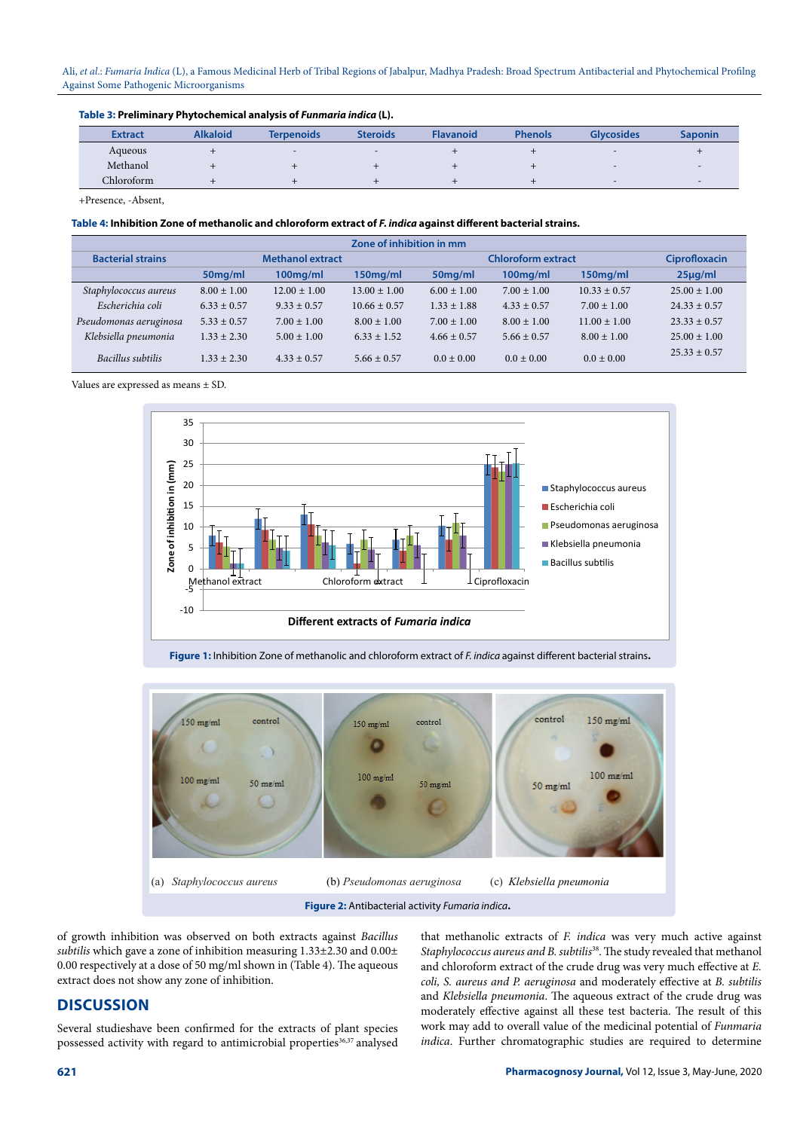#### **Table 3: Preliminary Phytochemical analysis of** *Funmaria indica* **(L).**

| <b>Extract</b> | <b>Alkaloid</b> | <b>Terpenoids</b> | <b>Steroids</b> | <b>Flavanoid</b> | <b>Phenols</b> | <b>Glycosides</b> | <b>Saponin</b>           |
|----------------|-----------------|-------------------|-----------------|------------------|----------------|-------------------|--------------------------|
| Aqueous        |                 | $\,$ $\,$         |                 |                  |                |                   |                          |
| Methanol       |                 |                   |                 |                  |                |                   |                          |
| Chloroform     |                 |                   |                 |                  |                |                   | $\overline{\phantom{0}}$ |

+Presence, -Absent,

#### **Table 4: Inhibition Zone of methanolic and chloroform extract of** *F. indica* **against different bacterial strains.**

| Zone of inhibition in mm |                         |                  |                  |                 |                           |                  |                  |
|--------------------------|-------------------------|------------------|------------------|-----------------|---------------------------|------------------|------------------|
| <b>Bacterial strains</b> | <b>Methanol extract</b> |                  |                  |                 | <b>Chloroform extract</b> |                  |                  |
|                          | 50 <sub>mg/ml</sub>     | $100$ mg/ml      | $150$ mg/ml      | 50mg/ml         | $100$ mg/ml               | $150$ mg/ml      | $25\mu$ g/ml     |
| Staphylococcus aureus    | $8.00 \pm 1.00$         | $12.00 \pm 1.00$ | $13.00 \pm 1.00$ | $6.00 \pm 1.00$ | $7.00 \pm 1.00$           | $10.33 \pm 0.57$ | $25.00 \pm 1.00$ |
| Escherichia coli         | $6.33 + 0.57$           | $9.33 \pm 0.57$  | $10.66 \pm 0.57$ | $1.33 \pm 1.88$ | $4.33 \pm 0.57$           | $7.00 \pm 1.00$  | $24.33 + 0.57$   |
| Pseudomonas aeruginosa   | $5.33 + 0.57$           | $7.00 \pm 1.00$  | $8.00 \pm 1.00$  | $7.00 \pm 1.00$ | $8.00 \pm 1.00$           | $11.00 \pm 1.00$ | $23.33 + 0.57$   |
| Klebsiella pneumonia     | $1.33 + 2.30$           | $5.00 \pm 1.00$  | $6.33 + 1.52$    | $4.66 \pm 0.57$ | $5.66 \pm 0.57$           | $8.00 \pm 1.00$  | $25.00 \pm 1.00$ |
| Bacillus subtilis        | $1.33 + 2.30$           | $4.33 \pm 0.57$  | $5.66 \pm 0.57$  | $0.0 \pm 0.00$  | $0.0 \pm 0.00$            | $0.0 \pm 0.00$   | $25.33 \pm 0.57$ |

Values are expressed as means ± SD.



**Figure 1:** Inhibition Zone of methanolic and chloroform extract of *F. indica* against different bacterial strains**.**



**Figure 2:** Antibacterial activity *Fumaria indica***.**

of growth inhibition was observed on both extracts against *Bacillus subtilis* which gave a zone of inhibition measuring 1.33±2.30 and 0.00± 0.00 respectively at a dose of 50 mg/ml shown in (Table 4). The aqueous extract does not show any zone of inhibition.

# **DISCUSSION**

Several studieshave been confirmed for the extracts of plant species possessed activity with regard to antimicrobial properties<sup>36,37</sup> analysed

that methanolic extracts of *F. indica* was very much active against *Staphylococcus aureus and B. subtilis*38. The study revealed that methanol and chloroform extract of the crude drug was very much effective at *E. coli, S. aureus and P. aeruginosa* and moderately effective at *B. subtilis*  and *Klebsiella pneumonia*. The aqueous extract of the crude drug was moderately effective against all these test bacteria. The result of this work may add to overall value of the medicinal potential of *Funmaria indica*. Further chromatographic studies are required to determine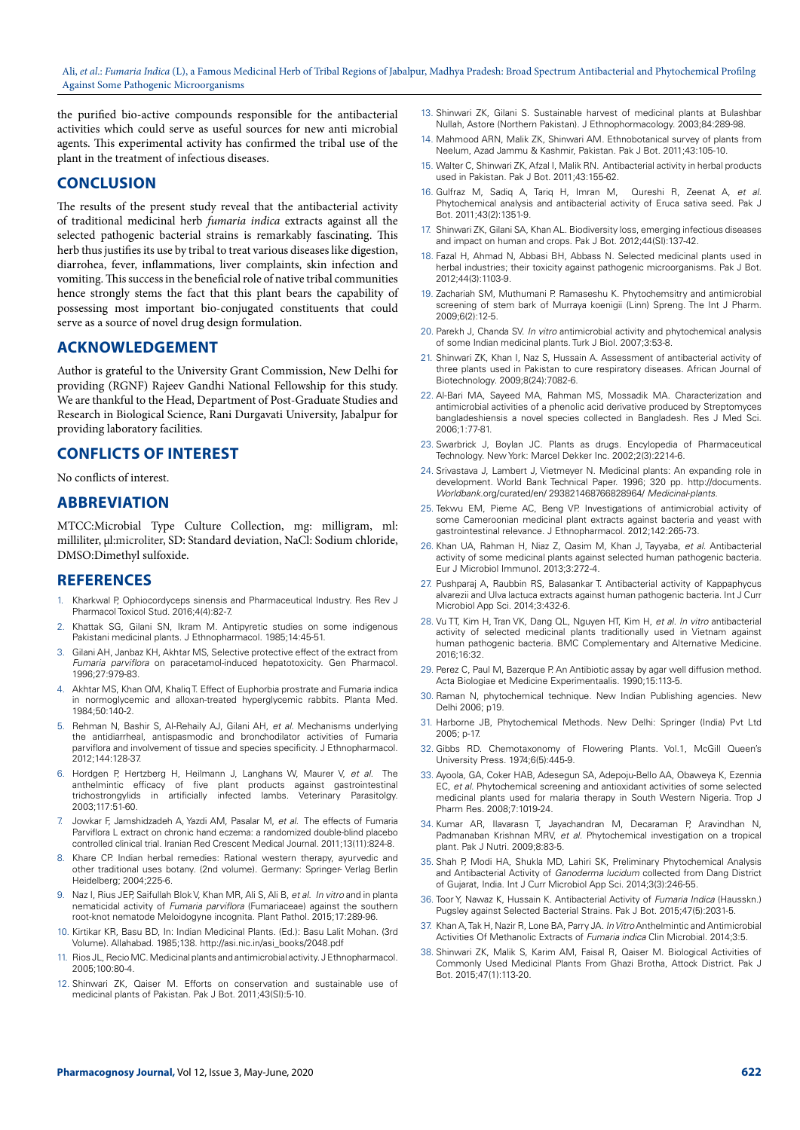the purified bio-active compounds responsible for the antibacterial activities which could serve as useful sources for new anti microbial agents. This experimental activity has confirmed the tribal use of the plant in the treatment of infectious diseases.

## **CONCLUSION**

The results of the present study reveal that the antibacterial activity of traditional medicinal herb *fumaria indica* extracts against all the selected pathogenic bacterial strains is remarkably fascinating. This herb thus justifies its use by tribal to treat various diseases like digestion, diarrohea, fever, inflammations, liver complaints, skin infection and vomiting. This success in the beneficial role of native tribal communities hence strongly stems the fact that this plant bears the capability of possessing most important bio-conjugated constituents that could serve as a source of novel drug design formulation.

# **ACKNOWLEDGEMENT**

Author is grateful to the University Grant Commission, New Delhi for providing (RGNF) Rajeev Gandhi National Fellowship for this study. We are thankful to the Head, Department of Post-Graduate Studies and Research in Biological Science, Rani Durgavati University, Jabalpur for providing laboratory facilities.

# **CONFLICTS OF INTEREST**

No conflicts of interest.

## **ABBREVIATION**

MTCC:Microbial Type Culture Collection, mg: milligram, ml: milliliter, µl:microliter, SD: Standard deviation, NaCl: Sodium chloride, DMSO:Dimethyl sulfoxide.

# **REFERENCES**

- 1. Kharkwal P, Ophiocordyceps sinensis and Pharmaceutical Industry. Res Rev J Pharmacol Toxicol Stud. 2016;4(4):82-7.
- 2. Khattak SG, Gilani SN, Ikram M. Antipyretic studies on some indigenous Pakistani medicinal plants. J Ethnopharmacol. 1985;14:45-51.
- 3. Gilani AH, Janbaz KH, Akhtar MS, Selective protective effect of the extract from *Fumaria parviflora* on paracetamol-induced hepatotoxicity. Gen Pharmacol. 1996;27:979-83.
- 4. Akhtar MS, Khan QM, Khaliq T. Effect of Euphorbia prostrate and Fumaria indica in normoglycemic and alloxan-treated hyperglycemic rabbits. Planta Med. 1984;50:140-2.
- 5. Rehman N, Bashir S, Al-Rehaily AJ, Gilani AH, *et al.* Mechanisms underlying the antidiarrheal, antispasmodic and bronchodilator activities of Fumaria parviflora and involvement of tissue and species specificity. J Ethnopharmacol. 2012;144:128-37.
- 6. Hordgen P, Hertzberg H, Heilmann J, Langhans W, Maurer V, *et al.* The anthelmintic efficacy of five plant products against gastrointestinal trichostrongylids in artificially infected lambs. Veterinary Parasitolgy. infected lambs. Veterinary Parasitolgy. 2003;117:51-60.
- 7. Jowkar F, Jamshidzadeh A, Yazdi AM, Pasalar M, *et al.* The effects of Fumaria Parviflora L extract on chronic hand eczema: a randomized double-blind placebo controlled clinical trial. Iranian Red Crescent Medical Journal. 2011;13(11):824-8.
- Khare CP. Indian herbal remedies: Rational western therapy, ayurvedic and other traditional uses botany. (2nd volume). Germany: Springer- Verlag Berlin Heidelberg; 2004;225-6.
- 9. Naz I, Rius JEP, Saifullah Blok V, Khan MR, Ali S, Ali B, *et al. In vitro* and in planta nematicidal activity of *Fumaria parviflora* (Fumariaceae) against the southern root-knot nematode Meloidogyne incognita. Plant Pathol. 2015;17:289-96.
- 10. Kirtikar KR, Basu BD, In: Indian Medicinal Plants. (Ed.): Basu Lalit Mohan. (3rd Volume). Allahabad. 1985;138. [http://asi.nic.in/asi\\_books/2048.pdf](http://asi.nic.in/asi_books/2048.pdf)
- 11. Rios JL, Recio MC. Medicinal plants and antimicrobial activity. J Ethnopharmacol*.* 2005;100:80-4.
- 12. Shinwari ZK, Qaiser M. Efforts on conservation and sustainable use of medicinal plants of Pakistan. Pak J Bot. 2011;43(SI):5-10.
- 13. Shinwari ZK, Gilani S. Sustainable harvest of medicinal plants at Bulashbar Nullah, Astore (Northern Pakistan). J Ethnophormacology. 2003;84:289-98.
- 14. Mahmood ARN, Malik ZK, Shinwari AM*.* Ethnobotanical survey of plants from Neelum, Azad Jammu & Kashmir, Pakistan. Pak J Bot. 2011;43:105-10.
- 15. Walter C, Shinwari ZK, Afzal I, Malik RN*.* Antibacterial activity in herbal products used in Pakistan. Pak J Bot. 2011;43:155-62.
- 16. Gulfraz M, Sadiq A, Tariq H, Imran M, Qureshi R, Zeenat A, *et al.* Phytochemical analysis and antibacterial activity of Eruca sativa seed. Pak J Bot. 2011;43(2):1351-9.
- 17. Shinwari ZK, Gilani SA, Khan AL. Biodiversity loss, emerging infectious diseases and impact on human and crops. Pak J Bot. 2012;44(SI):137-42.
- 18. Fazal H, Ahmad N, Abbasi BH, Abbass N*.* Selected medicinal plants used in herbal industries; their toxicity against pathogenic microorganisms. Pak J Bot. 2012;44(3):1103-9.
- 19. Zachariah SM, Muthumani P. Ramaseshu K. Phytochemsitry and antimicrobial screening of stem bark of Murraya koenigii (Linn) Spreng. The Int J Pharm. 2009;6(2):12-5.
- 20. Parekh J, Chanda SV. *In vitro* antimicrobial activity and phytochemical analysis of some Indian medicinal plants. Turk J Biol. 2007;3:53-8.
- 21. Shinwari ZK, Khan I, Naz S, Hussain A. Assessment of antibacterial activity of three plants used in Pakistan to cure respiratory diseases. African Journal of Biotechnology. 2009;8(24):7082-6.
- 22. Al-Bari MA, Sayeed MA, Rahman MS, Mossadik MA. Characterization and antimicrobial activities of a phenolic acid derivative produced by Streptomyces bangladeshiensis a novel species collected in Bangladesh. Res J Med Sci. 2006;1:77-81.
- 23. Swarbrick J, Boylan JC. Plants as drugs. Encylopedia of Pharmaceutical Technology. New York: Marcel Dekker Inc. 2002;2(3):2214-6.
- 24. Srivastava J, Lambert J, Vietmeyer N. Medicinal plants: An expanding role in development. World Bank Technical Paper. 1996; 320 pp. [http://documents.](http://documents) *Worldbank*.org/curated/en/ 293821468766828964/ *Medicinal*-*plants.*
- 25. Tekwu EM, Pieme AC, Beng VP. Investigations of antimicrobial activity of some Cameroonian medicinal plant extracts against bacteria and yeast with gastrointestinal relevance. J Ethnopharmacol. 2012;142:265-73.
- 26. Khan UA, Rahman H, Niaz Z, Qasim M, Khan J, Tayyaba, *et al.* Antibacterial activity of some medicinal plants against selected human pathogenic bacteria. Eur J Microbiol Immunol. 2013;3:272-4.
- 27. Pushparaj A, Raubbin RS, Balasankar T. Antibacterial activity of Kappaphycus alvarezii and Ulva lactuca extracts against human pathogenic bacteria. Int J Curr Microbiol App Sci. 2014;3:432-6.
- 28. Vu TT, Kim H, Tran VK, Dang QL, Nguyen HT, Kim H, *et al. In vitro* antibacterial activity of selected medicinal plants traditionally used in Vietnam against human pathogenic bacteria. BMC Complementary and Alternative Medicine. 2016;16:32.
- 29. Perez C, Paul M, Bazerque P. An Antibiotic assay by agar well diffusion method. Acta Biologiae et Medicine Experimentaalis. 1990;15:113-5.
- 30. Raman N, phytochemical technique. New Indian Publishing agencies. New Delhi 2006; p19.
- 31. Harborne JB, Phytochemical Methods*.* New Delhi: Springer (India) Pvt Ltd 2005; p-17.
- 32. Gibbs RD. Chemotaxonomy of Flowering Plants. Vol.1, McGill Queen's University Press. 1974;6(5):445-9.
- 33. Ayoola, GA, Coker HAB, Adesegun SA, Adepoju-Bello AA, Obaweya K, Ezennia EC, *et al.* Phytochemical screening and antioxidant activities of some selected medicinal plants used for malaria therapy in South Western Nigeria. Trop J Pharm Res. 2008;7:1019-24.
- 34. Kumar AR, Ilavarasn T, Jayachandran M, Decaraman P, Aravindhan N, Padmanaban Krishnan MRV, *et al.* Phytochemical investigation on a tropical plant. Pak J Nutri. 2009;8:83-5.
- 35. Shah P, Modi HA, Shukla MD, Lahiri SK, Preliminary Phytochemical Analysis and Antibacterial Activity of *Ganoderma lucidum* collected from Dang District of Gujarat, India. Int J Curr Microbiol App Sci. 2014;3(3):246-55.
- 36. Toor Y, Nawaz K, Hussain K. Antibacterial Activity of *Fumaria Indica* (Hausskn.) Pugsley against Selected Bacterial Strains. Pak J Bot. 2015;47(5):2031-5.
- 37. Khan A, Tak H, Nazir R, Lone BA, Parry JA. *In Vitro* Anthelmintic and Antimicrobial Activities Of Methanolic Extracts of *Fumaria indica* Clin Microbial. 2014;3:5.
- Shinwari ZK, Malik S, Karim AM, Faisal R, Qaiser M. Biological Activities of Commonly Used Medicinal Plants From Ghazi Brotha, Attock District. Pak J Bot. 2015;47(1):113-20.